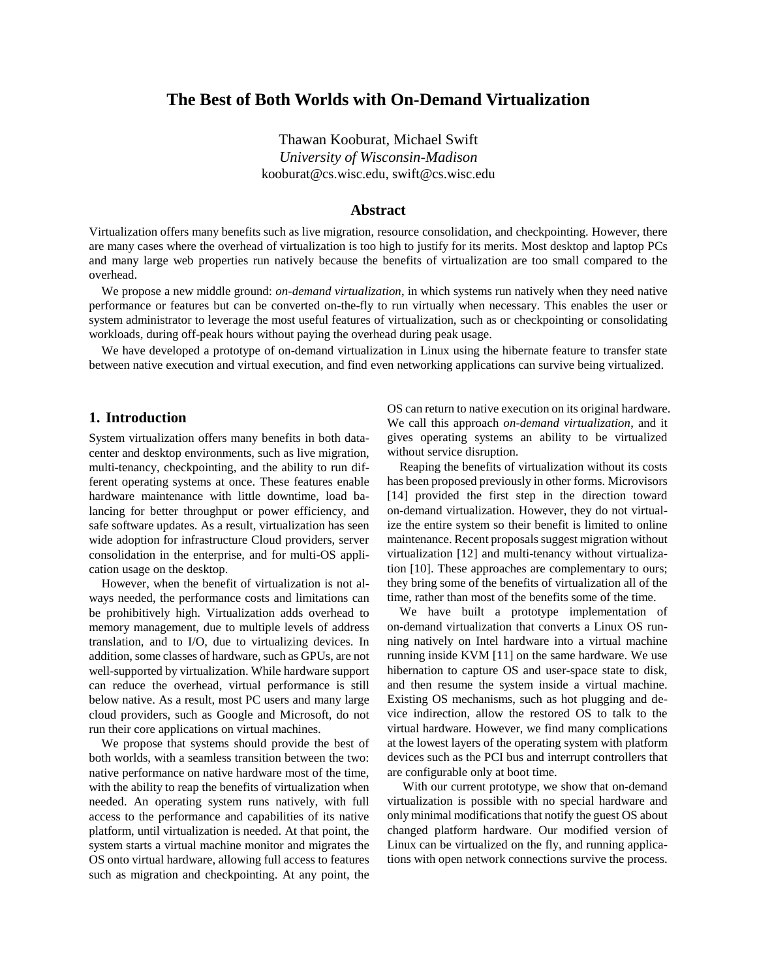# **The Best of Both Worlds with On-Demand Virtualization**

Thawan Kooburat, Michael Swift *University of Wisconsin-Madison* kooburat@cs.wisc.edu, swift@cs.wisc.edu

# **Abstract**

Virtualization offers many benefits such as live migration, resource consolidation, and checkpointing. However, there are many cases where the overhead of virtualization is too high to justify for its merits. Most desktop and laptop PCs and many large web properties run natively because the benefits of virtualization are too small compared to the overhead.

We propose a new middle ground: *on-demand virtualization*, in which systems run natively when they need native performance or features but can be converted on-the-fly to run virtually when necessary. This enables the user or system administrator to leverage the most useful features of virtualization, such as or checkpointing or consolidating workloads, during off-peak hours without paying the overhead during peak usage.

We have developed a prototype of on-demand virtualization in Linux using the hibernate feature to transfer state between native execution and virtual execution, and find even networking applications can survive being virtualized.

### **1. Introduction**

System virtualization offers many benefits in both datacenter and desktop environments, such as live migration, multi-tenancy, checkpointing, and the ability to run different operating systems at once. These features enable hardware maintenance with little downtime, load balancing for better throughput or power efficiency, and safe software updates. As a result, virtualization has seen wide adoption for infrastructure Cloud providers, server consolidation in the enterprise, and for multi-OS application usage on the desktop.

However, when the benefit of virtualization is not always needed, the performance costs and limitations can be prohibitively high. Virtualization adds overhead to memory management, due to multiple levels of address translation, and to I/O, due to virtualizing devices. In addition, some classes of hardware, such as GPUs, are not well-supported by virtualization. While hardware support can reduce the overhead, virtual performance is still below native. As a result, most PC users and many large cloud providers, such as Google and Microsoft, do not run their core applications on virtual machines.

We propose that systems should provide the best of both worlds, with a seamless transition between the two: native performance on native hardware most of the time, with the ability to reap the benefits of virtualization when needed. An operating system runs natively, with full access to the performance and capabilities of its native platform, until virtualization is needed. At that point, the system starts a virtual machine monitor and migrates the OS onto virtual hardware, allowing full access to features such as migration and checkpointing. At any point, the

OS can return to native execution on its original hardware. We call this approach *on-demand virtualization*, and it gives operating systems an ability to be virtualized without service disruption.

Reaping the benefits of virtualization without its costs has been proposed previously in other forms. Microvisors [14] provided the first step in the direction toward on-demand virtualization. However, they do not virtualize the entire system so their benefit is limited to online maintenance. Recent proposals suggest migration without virtualization [12] and multi-tenancy without virtualization [10]. These approaches are complementary to ours; they bring some of the benefits of virtualization all of the time, rather than most of the benefits some of the time.

We have built a prototype implementation of on-demand virtualization that converts a Linux OS running natively on Intel hardware into a virtual machine running inside KVM [11] on the same hardware. We use hibernation to capture OS and user-space state to disk, and then resume the system inside a virtual machine. Existing OS mechanisms, such as hot plugging and device indirection, allow the restored OS to talk to the virtual hardware. However, we find many complications at the lowest layers of the operating system with platform devices such as the PCI bus and interrupt controllers that are configurable only at boot time.

With our current prototype, we show that on-demand virtualization is possible with no special hardware and only minimal modifications that notify the guest OS about changed platform hardware. Our modified version of Linux can be virtualized on the fly, and running applications with open network connections survive the process.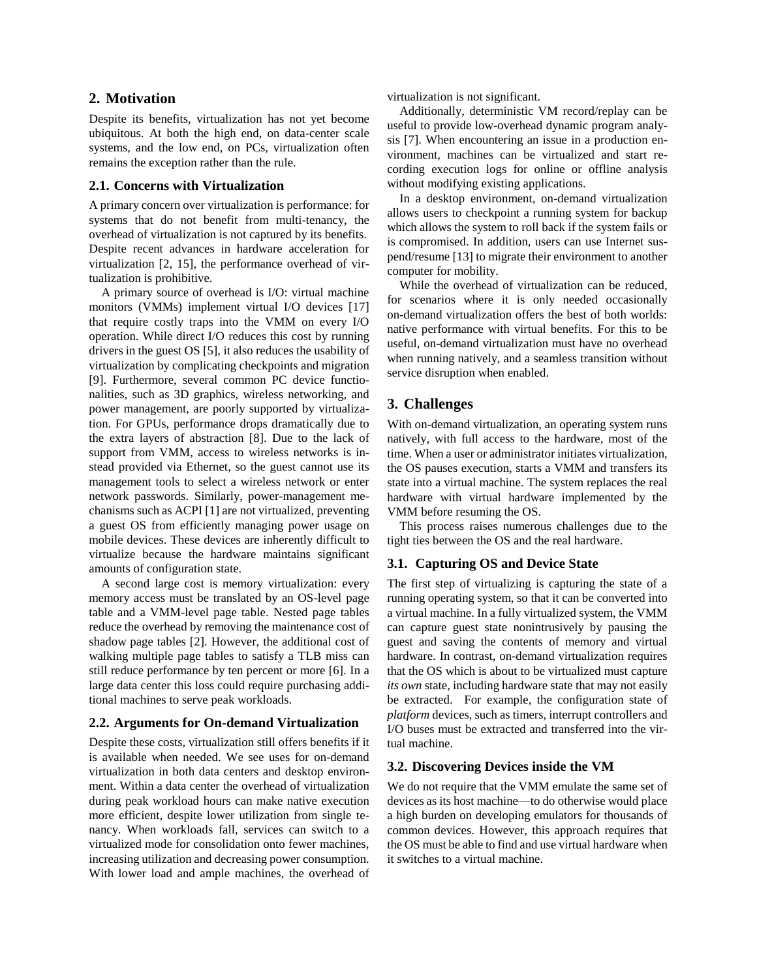## **2. Motivation**

Despite its benefits, virtualization has not yet become ubiquitous. At both the high end, on data-center scale systems, and the low end, on PCs, virtualization often remains the exception rather than the rule.

#### **2.1. Concerns with Virtualization**

A primary concern over virtualization is performance: for systems that do not benefit from multi-tenancy, the overhead of virtualization is not captured by its benefits. Despite recent advances in hardware acceleration for virtualization [2, 15], the performance overhead of virtualization is prohibitive.

A primary source of overhead is I/O: virtual machine monitors (VMMs) implement virtual I/O devices [17] that require costly traps into the VMM on every I/O operation. While direct I/O reduces this cost by running drivers in the guest OS [5], it also reduces the usability of virtualization by complicating checkpoints and migration [9]. Furthermore, several common PC device functionalities, such as 3D graphics, wireless networking, and power management, are poorly supported by virtualization. For GPUs, performance drops dramatically due to the extra layers of abstraction [8]. Due to the lack of support from VMM, access to wireless networks is instead provided via Ethernet, so the guest cannot use its management tools to select a wireless network or enter network passwords. Similarly, power-management mechanisms such as ACPI [1] are not virtualized, preventing a guest OS from efficiently managing power usage on mobile devices. These devices are inherently difficult to virtualize because the hardware maintains significant amounts of configuration state.

A second large cost is memory virtualization: every memory access must be translated by an OS-level page table and a VMM-level page table. Nested page tables reduce the overhead by removing the maintenance cost of shadow page tables [2]. However, the additional cost of walking multiple page tables to satisfy a TLB miss can still reduce performance by ten percent or more [6]. In a large data center this loss could require purchasing additional machines to serve peak workloads.

### **2.2. Arguments for On-demand Virtualization**

Despite these costs, virtualization still offers benefits if it is available when needed. We see uses for on-demand virtualization in both data centers and desktop environment. Within a data center the overhead of virtualization during peak workload hours can make native execution more efficient, despite lower utilization from single tenancy. When workloads fall, services can switch to a virtualized mode for consolidation onto fewer machines, increasing utilization and decreasing power consumption. With lower load and ample machines, the overhead of virtualization is not significant.

Additionally, deterministic VM record/replay can be useful to provide low-overhead dynamic program analysis [7]. When encountering an issue in a production environment, machines can be virtualized and start recording execution logs for online or offline analysis without modifying existing applications.

In a desktop environment, on-demand virtualization allows users to checkpoint a running system for backup which allows the system to roll back if the system fails or is compromised. In addition, users can use Internet suspend/resume [13] to migrate their environment to another computer for mobility.

While the overhead of virtualization can be reduced, for scenarios where it is only needed occasionally on-demand virtualization offers the best of both worlds: native performance with virtual benefits. For this to be useful, on-demand virtualization must have no overhead when running natively, and a seamless transition without service disruption when enabled.

# **3. Challenges**

With on-demand virtualization, an operating system runs natively, with full access to the hardware, most of the time. When a user or administrator initiates virtualization, the OS pauses execution, starts a VMM and transfers its state into a virtual machine. The system replaces the real hardware with virtual hardware implemented by the VMM before resuming the OS.

This process raises numerous challenges due to the tight ties between the OS and the real hardware.

### **3.1. Capturing OS and Device State**

The first step of virtualizing is capturing the state of a running operating system, so that it can be converted into a virtual machine. In a fully virtualized system, the VMM can capture guest state nonintrusively by pausing the guest and saving the contents of memory and virtual hardware. In contrast, on-demand virtualization requires that the OS which is about to be virtualized must capture *its own* state, including hardware state that may not easily be extracted. For example, the configuration state of *platform* devices, such as timers, interrupt controllers and I/O buses must be extracted and transferred into the virtual machine.

# **3.2. Discovering Devices inside the VM**

We do not require that the VMM emulate the same set of devices as its host machine—to do otherwise would place a high burden on developing emulators for thousands of common devices. However, this approach requires that the OS must be able to find and use virtual hardware when it switches to a virtual machine.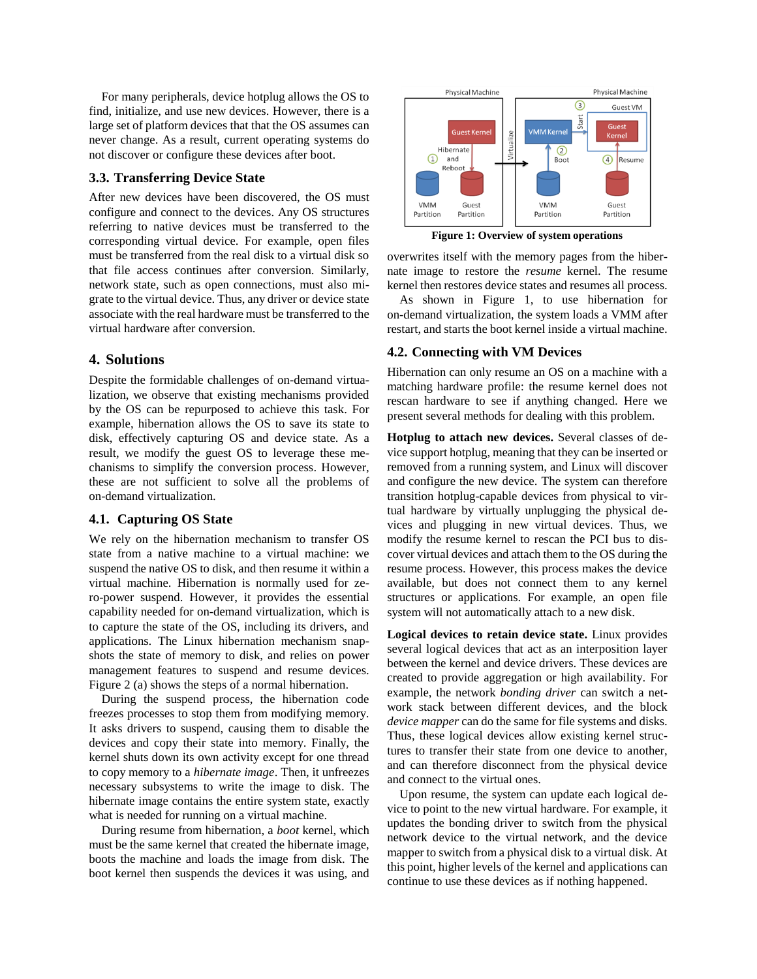For many peripherals, device hotplug allows the OS to find, initialize, and use new devices. However, there is a large set of platform devices that that the OS assumes can never change. As a result, current operating systems do not discover or configure these devices after boot.

### **3.3. Transferring Device State**

After new devices have been discovered, the OS must configure and connect to the devices. Any OS structures referring to native devices must be transferred to the corresponding virtual device. For example, open files must be transferred from the real disk to a virtual disk so that file access continues after conversion. Similarly, network state, such as open connections, must also migrate to the virtual device. Thus, any driver or device state associate with the real hardware must be transferred to the virtual hardware after conversion.

# **4. Solutions**

Despite the formidable challenges of on-demand virtualization, we observe that existing mechanisms provided by the OS can be repurposed to achieve this task. For example, hibernation allows the OS to save its state to disk, effectively capturing OS and device state. As a result, we modify the guest OS to leverage these mechanisms to simplify the conversion process. However, these are not sufficient to solve all the problems of on-demand virtualization.

#### **4.1. Capturing OS State**

We rely on the hibernation mechanism to transfer OS state from a native machine to a virtual machine: we suspend the native OS to disk, and then resume it within a virtual machine. Hibernation is normally used for zero-power suspend. However, it provides the essential capability needed for on-demand virtualization, which is to capture the state of the OS, including its drivers, and applications. The Linux hibernation mechanism snapshots the state of memory to disk, and relies on power management features to suspend and resume devices. [Figure 2](#page-3-0) (a) shows the steps of a normal hibernation.

During the suspend process, the hibernation code freezes processes to stop them from modifying memory. It asks drivers to suspend, causing them to disable the devices and copy their state into memory. Finally, the kernel shuts down its own activity except for one thread to copy memory to a *hibernate image*. Then, it unfreezes necessary subsystems to write the image to disk. The hibernate image contains the entire system state, exactly what is needed for running on a virtual machine.

During resume from hibernation, a *boot* kernel, which must be the same kernel that created the hibernate image, boots the machine and loads the image from disk. The boot kernel then suspends the devices it was using, and



**Figure 1: Overview of system operations**

<span id="page-2-0"></span>overwrites itself with the memory pages from the hibernate image to restore the *resume* kernel. The resume kernel then restores device states and resumes all process.

As shown in Figure 1, to use hibernation for on-demand virtualization, the system loads a VMM after restart, and starts the boot kernel inside a virtual machine.

#### **4.2. Connecting with VM Devices**

Hibernation can only resume an OS on a machine with a matching hardware profile: the resume kernel does not rescan hardware to see if anything changed. Here we present several methods for dealing with this problem.

**Hotplug to attach new devices.** Several classes of device support hotplug, meaning that they can be inserted or removed from a running system, and Linux will discover and configure the new device. The system can therefore transition hotplug-capable devices from physical to virtual hardware by virtually unplugging the physical devices and plugging in new virtual devices. Thus, we modify the resume kernel to rescan the PCI bus to discover virtual devices and attach them to the OS during the resume process. However, this process makes the device available, but does not connect them to any kernel structures or applications. For example, an open file system will not automatically attach to a new disk.

**Logical devices to retain device state.** Linux provides several logical devices that act as an interposition layer between the kernel and device drivers. These devices are created to provide aggregation or high availability. For example, the network *bonding driver* can switch a network stack between different devices, and the block *device mapper* can do the same for file systems and disks. Thus, these logical devices allow existing kernel structures to transfer their state from one device to another, and can therefore disconnect from the physical device and connect to the virtual ones.

Upon resume, the system can update each logical device to point to the new virtual hardware. For example, it updates the bonding driver to switch from the physical network device to the virtual network, and the device mapper to switch from a physical disk to a virtual disk. At this point, higher levels of the kernel and applications can continue to use these devices as if nothing happened.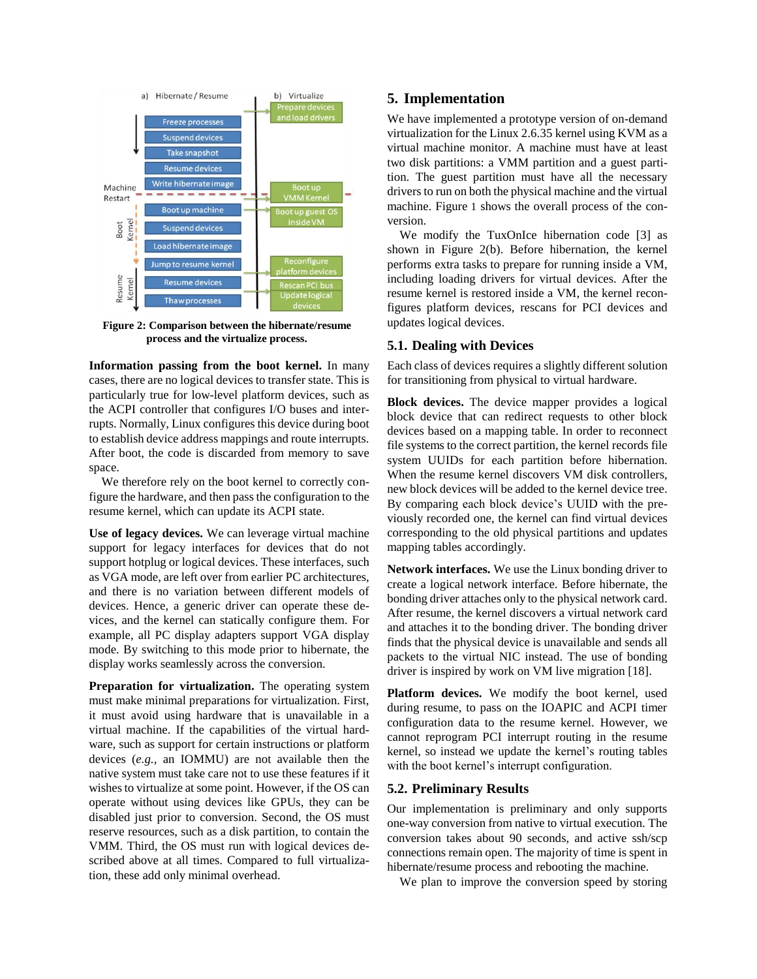

<span id="page-3-0"></span>**Figure 2: Comparison between the hibernate/resume process and the virtualize process.**

**Information passing from the boot kernel.** In many cases, there are no logical devices to transfer state. This is particularly true for low-level platform devices, such as the ACPI controller that configures I/O buses and interrupts. Normally, Linux configures this device during boot to establish device address mappings and route interrupts. After boot, the code is discarded from memory to save space.

We therefore rely on the boot kernel to correctly configure the hardware, and then pass the configuration to the resume kernel, which can update its ACPI state.

**Use of legacy devices.** We can leverage virtual machine support for legacy interfaces for devices that do not support hotplug or logical devices. These interfaces, such as VGA mode, are left over from earlier PC architectures, and there is no variation between different models of devices. Hence, a generic driver can operate these devices, and the kernel can statically configure them. For example, all PC display adapters support VGA display mode. By switching to this mode prior to hibernate, the display works seamlessly across the conversion.

**Preparation for virtualization.** The operating system must make minimal preparations for virtualization. First, it must avoid using hardware that is unavailable in a virtual machine. If the capabilities of the virtual hardware, such as support for certain instructions or platform devices (*e.g.,* an IOMMU) are not available then the native system must take care not to use these features if it wishes to virtualize at some point. However, if the OS can operate without using devices like GPUs, they can be disabled just prior to conversion. Second, the OS must reserve resources, such as a disk partition, to contain the VMM. Third, the OS must run with logical devices described above at all times. Compared to full virtualization, these add only minimal overhead.

# **5. Implementation**

We have implemented a prototype version of on-demand virtualization for the Linux 2.6.35 kernel using KVM as a virtual machine monitor. A machine must have at least two disk partitions: a VMM partition and a guest partition. The guest partition must have all the necessary drivers to run on both the physical machine and the virtual machine. [Figure](#page-2-0) 1 shows the overall process of the conversion.

We modify the TuxOnIce hibernation code [3] as shown in Figure 2(b). Before hibernation, the kernel performs extra tasks to prepare for running inside a VM, including loading drivers for virtual devices. After the resume kernel is restored inside a VM, the kernel reconfigures platform devices, rescans for PCI devices and updates logical devices.

### **5.1. Dealing with Devices**

Each class of devices requires a slightly different solution for transitioning from physical to virtual hardware.

**Block devices.** The device mapper provides a logical block device that can redirect requests to other block devices based on a mapping table. In order to reconnect file systems to the correct partition, the kernel records file system UUIDs for each partition before hibernation. When the resume kernel discovers VM disk controllers, new block devices will be added to the kernel device tree. By comparing each block device's UUID with the previously recorded one, the kernel can find virtual devices corresponding to the old physical partitions and updates mapping tables accordingly.

**Network interfaces.** We use the Linux bonding driver to create a logical network interface. Before hibernate, the bonding driver attaches only to the physical network card. After resume, the kernel discovers a virtual network card and attaches it to the bonding driver. The bonding driver finds that the physical device is unavailable and sends all packets to the virtual NIC instead. The use of bonding driver is inspired by work on VM live migration [18].

**Platform devices.** We modify the boot kernel, used during resume, to pass on the IOAPIC and ACPI timer configuration data to the resume kernel. However, we cannot reprogram PCI interrupt routing in the resume kernel, so instead we update the kernel's routing tables with the boot kernel's interrupt configuration.

### **5.2. Preliminary Results**

Our implementation is preliminary and only supports one-way conversion from native to virtual execution. The conversion takes about 90 seconds, and active ssh/scp connections remain open. The majority of time is spent in hibernate/resume process and rebooting the machine.

We plan to improve the conversion speed by storing